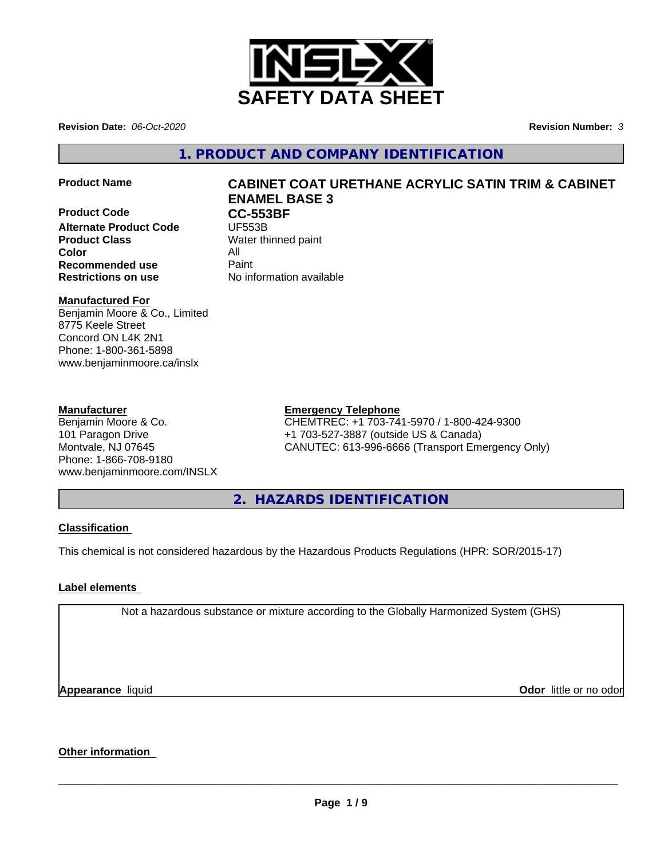

**Revision Date:** *06-Oct-2020* **Revision Number:** *3*

**1. PRODUCT AND COMPANY IDENTIFICATION**

**Product Code CC-553BF**<br> **Alternate Product Code** UF553B **Alternate Product Code Product Class** Water thinned paint **Color** All **Recommended use** Paint

# **Product Name CABINET COAT URETHANE ACRYLIC SATIN TRIM & CABINET ENAMEL BASE 3**

**Restrictions on use** No information available

# **Manufactured For**

Benjamin Moore & Co., Limited 8775 Keele Street Concord ON L4K 2N1 Phone: 1-800-361-5898 www.benjaminmoore.ca/inslx

# **Manufacturer**

Benjamin Moore & Co. 101 Paragon Drive Montvale, NJ 07645 Phone: 1-866-708-9180 www.benjaminmoore.com/INSLX

# **Emergency Telephone**

CHEMTREC: +1 703-741-5970 / 1-800-424-9300 +1 703-527-3887 (outside US & Canada) CANUTEC: 613-996-6666 (Transport Emergency Only)

**2. HAZARDS IDENTIFICATION**

# **Classification**

This chemical is not considered hazardous by the Hazardous Products Regulations (HPR: SOR/2015-17)

# **Label elements**

Not a hazardous substance or mixture according to the Globally Harmonized System (GHS)

**Appearance** liquid

**Odor** little or no odor

# **Other information**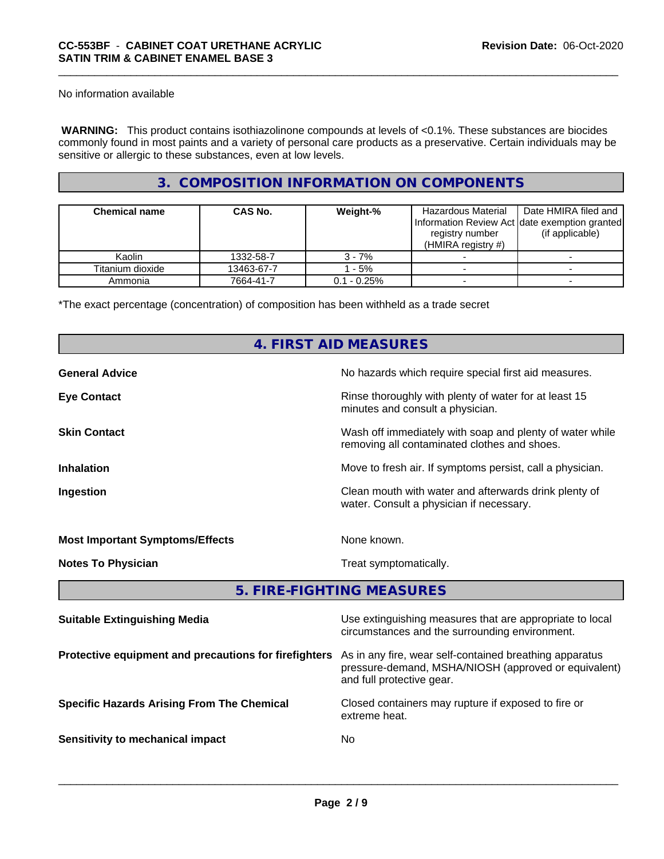No information available

 **WARNING:** This product contains isothiazolinone compounds at levels of <0.1%. These substances are biocides commonly found in most paints and a variety of personal care products as a preservative. Certain individuals may be sensitive or allergic to these substances, even at low levels.

# **3. COMPOSITION INFORMATION ON COMPONENTS**

| <b>Chemical name</b> | <b>CAS No.</b> | Weight-%       | Hazardous Material<br>Information Review Act date exemption granted<br>registry number<br>(HMIRA registry $#$ ) | Date HMIRA filed and<br>(if applicable) |
|----------------------|----------------|----------------|-----------------------------------------------------------------------------------------------------------------|-----------------------------------------|
| Kaolin               | 1332-58-7      | $3 - 7%$       |                                                                                                                 |                                         |
| Titanium dioxide     | 13463-67-7     | - 5%           |                                                                                                                 |                                         |
| Ammonia              | 7664-41-7      | $0.1 - 0.25\%$ |                                                                                                                 |                                         |

\*The exact percentage (concentration) of composition has been withheld as a trade secret

# **4. FIRST AID MEASURES**

| <b>General Advice</b>                  | No hazards which require special first aid measures.                                                     |
|----------------------------------------|----------------------------------------------------------------------------------------------------------|
| <b>Eye Contact</b>                     | Rinse thoroughly with plenty of water for at least 15<br>minutes and consult a physician.                |
| <b>Skin Contact</b>                    | Wash off immediately with soap and plenty of water while<br>removing all contaminated clothes and shoes. |
| <b>Inhalation</b>                      | Move to fresh air. If symptoms persist, call a physician.                                                |
| Ingestion                              | Clean mouth with water and afterwards drink plenty of<br>water. Consult a physician if necessary.        |
| <b>Most Important Symptoms/Effects</b> | None known.                                                                                              |
| <b>Notes To Physician</b>              | Treat symptomatically.                                                                                   |
|                                        | 5. FIRE-FIGHTING MEASURES                                                                                |

| <b>Suitable Extinguishing Media</b>                   | Use extinguishing measures that are appropriate to local<br>circumstances and the surrounding environment.                                   |
|-------------------------------------------------------|----------------------------------------------------------------------------------------------------------------------------------------------|
| Protective equipment and precautions for firefighters | As in any fire, wear self-contained breathing apparatus<br>pressure-demand, MSHA/NIOSH (approved or equivalent)<br>and full protective gear. |
| <b>Specific Hazards Arising From The Chemical</b>     | Closed containers may rupture if exposed to fire or<br>extreme heat.                                                                         |
| Sensitivity to mechanical impact                      | No                                                                                                                                           |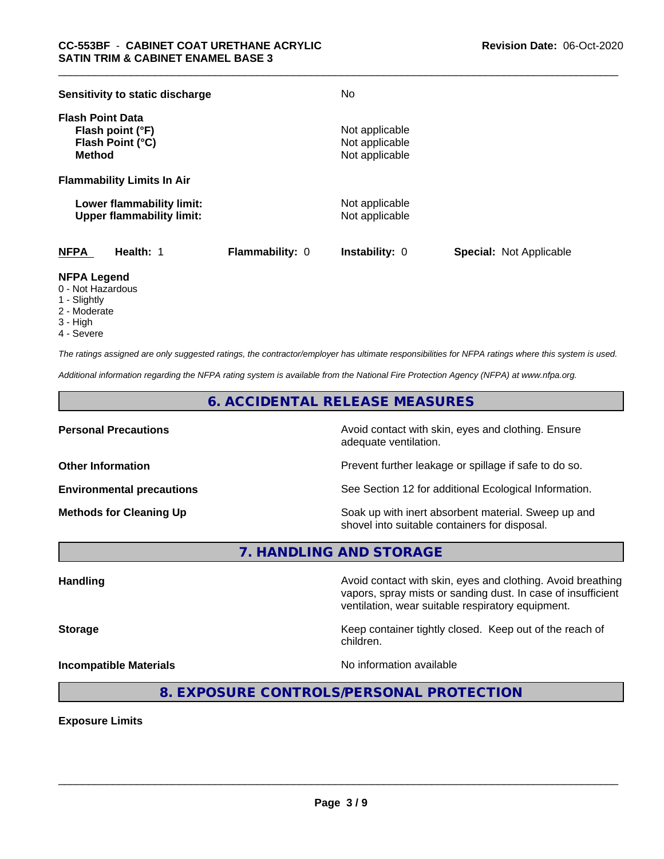| Sensitivity to static discharge                                                  |                        | No                                                 |                                |
|----------------------------------------------------------------------------------|------------------------|----------------------------------------------------|--------------------------------|
| <b>Flash Point Data</b><br>Flash point (°F)<br>Flash Point (°C)<br><b>Method</b> |                        | Not applicable<br>Not applicable<br>Not applicable |                                |
| <b>Flammability Limits In Air</b>                                                |                        |                                                    |                                |
| Lower flammability limit:<br><b>Upper flammability limit:</b>                    |                        | Not applicable<br>Not applicable                   |                                |
| <b>NFPA</b><br>Health: 1                                                         | <b>Flammability: 0</b> | <b>Instability: 0</b>                              | <b>Special: Not Applicable</b> |

# **NFPA Legend**

- 0 Not Hazardous
- 1 Slightly
- 2 Moderate
- 3 High
- 4 Severe

*The ratings assigned are only suggested ratings, the contractor/employer has ultimate responsibilities for NFPA ratings where this system is used.*

*Additional information regarding the NFPA rating system is available from the National Fire Protection Agency (NFPA) at www.nfpa.org.*

# **6. ACCIDENTAL RELEASE MEASURES**

**Personal Precautions Precautions** Avoid contact with skin, eyes and clothing. Ensure adequate ventilation.

**Other Information Other Information Prevent further leakage or spillage if safe to do so.** 

**Environmental precautions** See Section 12 for additional Ecological Information.

**Methods for Cleaning Up Example 20 Soak** up with inert absorbent material. Sweep up and shovel into suitable containers for disposal.

vapors, spray mists or sanding dust. In case of insufficient

**7. HANDLING AND STORAGE**

**Handling Avoid contact with skin, eyes and clothing. Avoid breathing Handling Avoid breathing** 

**Storage Keep container tightly closed.** Keep out of the reach of children.

ventilation, wear suitable respiratory equipment.

**Incompatible Materials Incompatible Materials No information available** 

 $\overline{\phantom{a}}$  ,  $\overline{\phantom{a}}$  ,  $\overline{\phantom{a}}$  ,  $\overline{\phantom{a}}$  ,  $\overline{\phantom{a}}$  ,  $\overline{\phantom{a}}$  ,  $\overline{\phantom{a}}$  ,  $\overline{\phantom{a}}$  ,  $\overline{\phantom{a}}$  ,  $\overline{\phantom{a}}$  ,  $\overline{\phantom{a}}$  ,  $\overline{\phantom{a}}$  ,  $\overline{\phantom{a}}$  ,  $\overline{\phantom{a}}$  ,  $\overline{\phantom{a}}$  ,  $\overline{\phantom{a}}$ 

**8. EXPOSURE CONTROLS/PERSONAL PROTECTION**

**Exposure Limits**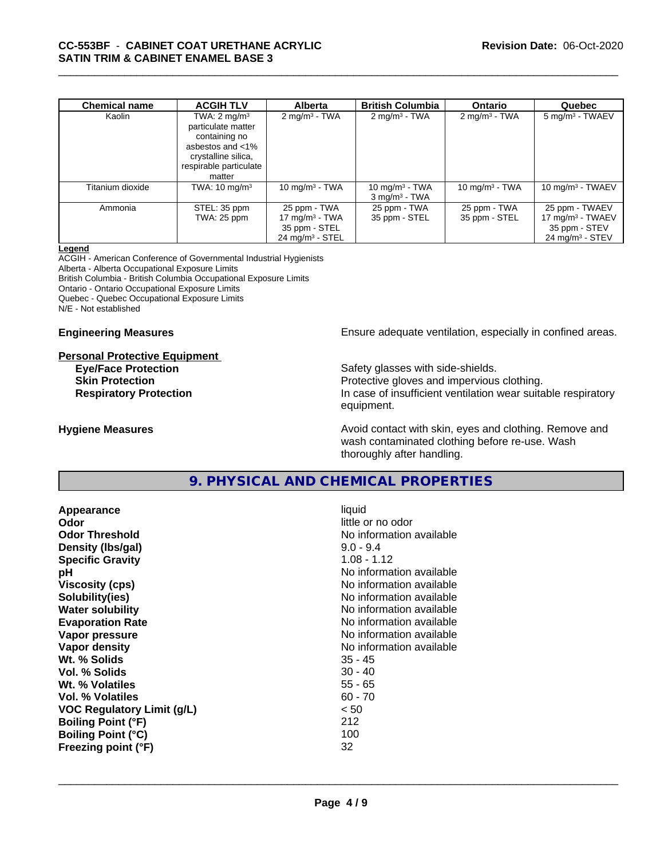| <b>Chemical name</b> | <b>ACGIH TLV</b>         | <b>Alberta</b>                | <b>British Columbia</b>     | <b>Ontario</b>           | Quebec                        |
|----------------------|--------------------------|-------------------------------|-----------------------------|--------------------------|-------------------------------|
| Kaolin               | TWA: $2 \text{ mg/m}^3$  | $2 \text{ mg/m}^3$ - TWA      | $2 \text{mq/m}^3$ - TWA     | $2 \text{ mg/m}^3$ - TWA | $5 \text{ mg/m}^3$ - TWAEV    |
|                      | particulate matter       |                               |                             |                          |                               |
|                      | containing no            |                               |                             |                          |                               |
|                      | asbestos and <1%         |                               |                             |                          |                               |
|                      | crystalline silica,      |                               |                             |                          |                               |
|                      | respirable particulate   |                               |                             |                          |                               |
|                      | matter                   |                               |                             |                          |                               |
| Titanium dioxide     | TWA: $10 \text{ mg/m}^3$ | 10 mg/m $3 - TWA$             | 10 mg/m $3$ - TWA           | 10 mg/m $3$ - TWA        | $10 \text{ mg/m}^3$ - TWAEV   |
|                      |                          |                               | $3$ mg/m <sup>3</sup> - TWA |                          |                               |
| Ammonia              | STEL: 35 ppm             | 25 ppm - TWA                  | 25 ppm - TWA                | 25 ppm - TWA             | 25 ppm - TWAEV                |
|                      | TWA: 25 ppm              | $17 \text{ mg/m}^3$ - TWA     | 35 ppm - STEL               | 35 ppm - STEL            | $17 \text{ mg/m}^3$ - TWAEV   |
|                      |                          | 35 ppm - STEL                 |                             |                          | 35 ppm - STEV                 |
|                      |                          | $24$ mg/m <sup>3</sup> - STEL |                             |                          | $24$ mg/m <sup>3</sup> - STEV |

#### **Legend**

ACGIH - American Conference of Governmental Industrial Hygienists Alberta - Alberta Occupational Exposure Limits British Columbia - British Columbia Occupational Exposure Limits

Ontario - Ontario Occupational Exposure Limits

Quebec - Quebec Occupational Exposure Limits

N/E - Not established

#### **Personal Protective Equipment**

**Engineering Measures Ensure** Ensure adequate ventilation, especially in confined areas.

**Eye/Face Protection Safety glasses with side-shields. Skin Protection Protection Protective gloves and impervious clothing. Respiratory Protection In case of insufficient ventilation wear suitable respiratory** equipment.

**Hygiene Measures Avoid contact with skin, eyes and clothing. Remove and Avoid contact with skin, eyes and clothing. Remove and Avoid contact with skin, eyes and clothing. Remove and** wash contaminated clothing before re-use. Wash thoroughly after handling.

# **9. PHYSICAL AND CHEMICAL PROPERTIES**

**Appearance** liquid **Odor** little or no odor **Odor Threshold** No information available **Density (lbs/gal)** 9.0 - 9.4 **Specific Gravity** 1.08 - 1.12 **pH**<br>
Viscosity (cps) The Contract of the Contract of the Viscosity (cps) and Viscosity (cps) **Solubility(ies)** No information available **Water solubility** No information available **Evaporation Rate Evaporation Rate No information available Vapor pressure** No information available **No information** available **Vapor density No information available No information available Wt. % Solids** 35 - 45 **Vol. % Solids** 30 - 40 **Wt. % Volatiles** 55 - 65 **Vol. % Volatiles** 60 - 70 **VOC Regulatory Limit (g/L)** < 50 **Boiling Point (°F)** 212 **Boiling Point (°C)** 100 **Freezing point (°F)** 32

**Viscosity (cps)** No information available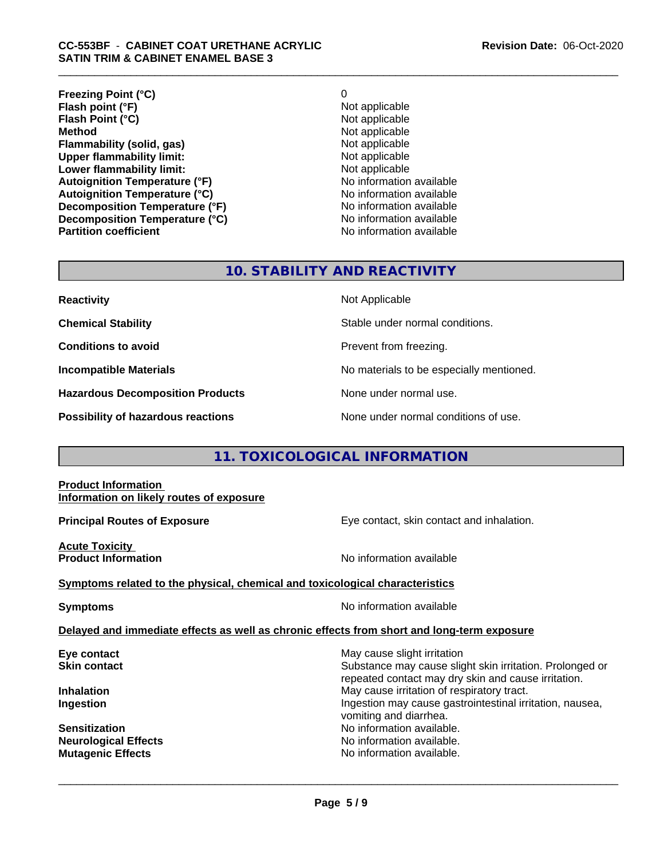**Freezing Point (°C)**<br> **Flash point (°F)**<br> **Flash point (°F)**<br> **Point (°F)**<br> **Point (°F)**<br> **Point District (°F)**<br> **Point District (°F)**<br> **Point District (°F) Flash point (°F)**<br> **Flash Point (°C)**<br> **Flash Point (°C)**<br> **C Flash Point (°C) Method** Not applicable<br> **Flammability (solid, gas)** Not applicable Not applicable **Flammability (solid, gas)** Not applicable Not applicable<br>
Upper flammability limit: Not applicable **Upper flammability limit: Lower flammability limit:**<br> **Autoignition Temperature (°F)** Not applicable available **Autoignition Temperature (°F)**<br> **Autoignition Temperature (°C)** No information available **Autoignition Temperature (°C) Decomposition Temperature (°F)** No information available **Decomposition Temperature (°C)** No information available<br> **Partition coefficient Partition available** 

**No information available** 

# **10. STABILITY AND REACTIVITY**

| <b>Reactivity</b>                         | Not Applicable                           |
|-------------------------------------------|------------------------------------------|
| <b>Chemical Stability</b>                 | Stable under normal conditions.          |
| <b>Conditions to avoid</b>                | Prevent from freezing.                   |
| <b>Incompatible Materials</b>             | No materials to be especially mentioned. |
| <b>Hazardous Decomposition Products</b>   | None under normal use.                   |
| <b>Possibility of hazardous reactions</b> | None under normal conditions of use.     |

# **11. TOXICOLOGICAL INFORMATION**

### **Product Information Information on likely routes of exposure**

**Principal Routes of Exposure Exposure** Eye contact, skin contact and inhalation.

**Acute Toxicity** 

**Product Information Information No information available** 

# **Symptoms related to the physical,chemical and toxicological characteristics**

**Symptoms** No information available

 $\overline{\phantom{a}}$  ,  $\overline{\phantom{a}}$  ,  $\overline{\phantom{a}}$  ,  $\overline{\phantom{a}}$  ,  $\overline{\phantom{a}}$  ,  $\overline{\phantom{a}}$  ,  $\overline{\phantom{a}}$  ,  $\overline{\phantom{a}}$  ,  $\overline{\phantom{a}}$  ,  $\overline{\phantom{a}}$  ,  $\overline{\phantom{a}}$  ,  $\overline{\phantom{a}}$  ,  $\overline{\phantom{a}}$  ,  $\overline{\phantom{a}}$  ,  $\overline{\phantom{a}}$  ,  $\overline{\phantom{a}}$ 

### **Delayed and immediate effects as well as chronic effects from short and long-term exposure**

**Eye contact** May cause slight irritation **New York Contact Skin contact** Substance may cause slight skin irritation. Prolonged or repeated contact may dry skin and cause irritation. **Inhalation Inhalation Inhalation May cause irritation of respiratory tract. Ingestion Ingestion Ingestion may cause gastrointestinal irritation, nausea,** vomiting and diarrhea. **Sensitization No information available.** No information available. **Neurological Effects** Noinformation available. **Mutagenic Effects No information available.**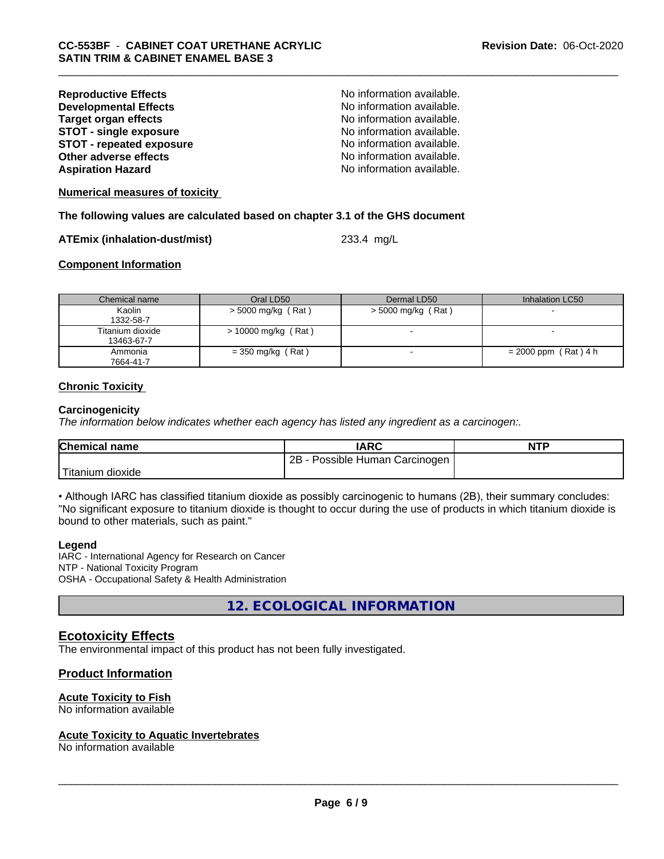| No information available. |
|---------------------------|
| No information available. |
| No information available. |
| No information available. |
| No information available. |
| No information available. |
| No information available. |
|                           |

**Numerical measures of toxicity**

**The following values are calculated based on chapter 3.1 of the GHS document**

#### **ATEmix (inhalation-dust/mist)** 233.4 mg/L

## **Component Information**

| Chemical name                  | Oral LD50             | Dermal LD50          | Inhalation LC50        |
|--------------------------------|-----------------------|----------------------|------------------------|
| Kaolin<br>1332-58-7            | > 5000 mg/kg (Rat)    | $>$ 5000 mg/kg (Rat) |                        |
| Titanium dioxide<br>13463-67-7 | $> 10000$ mg/kg (Rat) |                      |                        |
| Ammonia<br>7664-41-7           | $=$ 350 mg/kg (Rat)   |                      | $= 2000$ ppm (Rat) 4 h |

### **Chronic Toxicity**

#### **Carcinogenicity**

*The information below indicateswhether each agency has listed any ingredient as a carcinogen:.*

| <b>Chemical name</b>   | <b>IARC</b>                     | <b>NTP</b> |
|------------------------|---------------------------------|------------|
|                        | 2B<br>Possible Human Carcinogen |            |
| Titanium J<br>⊧dioxide |                                 |            |

• Although IARC has classified titanium dioxide as possibly carcinogenic to humans (2B), their summary concludes: "No significant exposure to titanium dioxide is thought to occur during the use of products in which titanium dioxide is bound to other materials, such as paint."

#### **Legend**

IARC - International Agency for Research on Cancer NTP - National Toxicity Program OSHA - Occupational Safety & Health Administration

**12. ECOLOGICAL INFORMATION**

# **Ecotoxicity Effects**

The environmental impact of this product has not been fully investigated.

# **Product Information**

# **Acute Toxicity to Fish**

No information available

### **Acute Toxicity to Aquatic Invertebrates**

No information available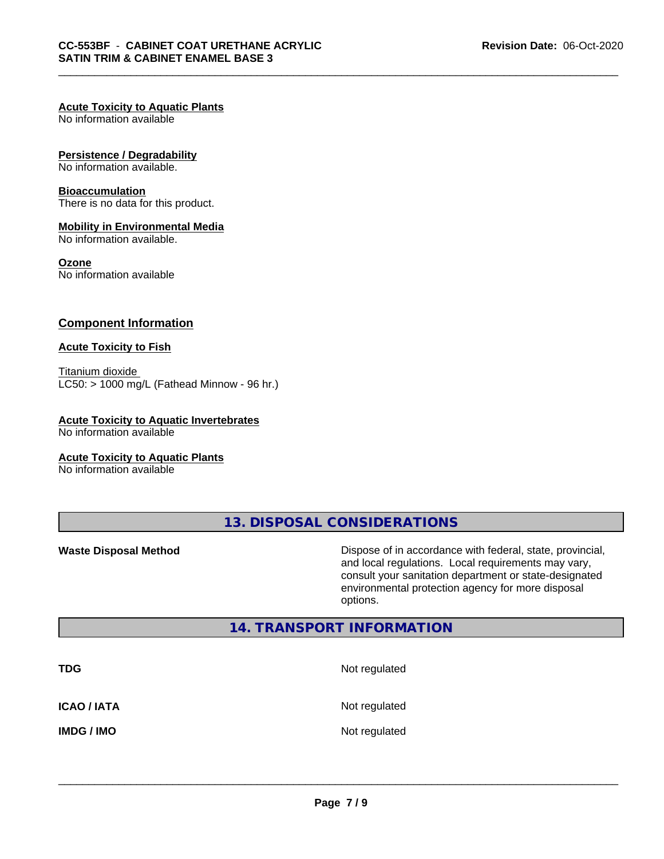## **Acute Toxicity to Aquatic Plants**

No information available

#### **Persistence / Degradability**

No information available.

#### **Bioaccumulation**

There is no data for this product.

### **Mobility in Environmental Media**

No information available.

#### **Ozone**

No information available

## **Component Information**

### **Acute Toxicity to Fish**

Titanium dioxide  $LC50:$  > 1000 mg/L (Fathead Minnow - 96 hr.)

## **Acute Toxicity to Aquatic Invertebrates**

No information available

#### **Acute Toxicity to Aquatic Plants**

No information available

**13. DISPOSAL CONSIDERATIONS**

**Waste Disposal Method Dispose of in accordance with federal, state, provincial,** and local regulations. Local requirements may vary, consult your sanitation department or state-designated environmental protection agency for more disposal options.

# **14. TRANSPORT INFORMATION**

| <b>TDG</b>         | Not regulated |
|--------------------|---------------|
| <b>ICAO / IATA</b> | Not regulated |
| <b>IMDG / IMO</b>  | Not regulated |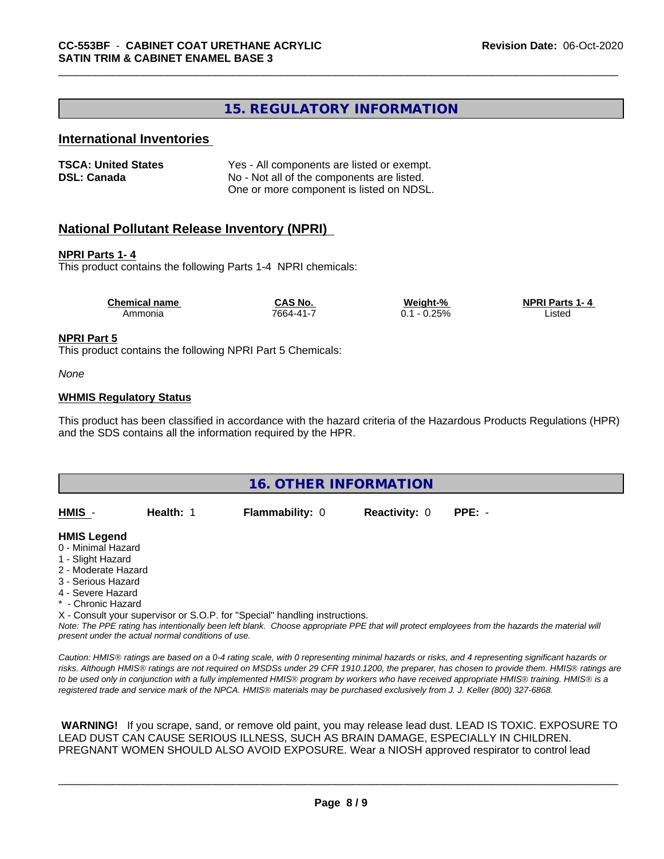# **15. REGULATORY INFORMATION**

# **International Inventories**

| <b>TSCA: United States</b> | Yes - All components are listed or exempt. |
|----------------------------|--------------------------------------------|
| <b>DSL: Canada</b>         | No - Not all of the components are listed. |
|                            | One or more component is listed on NDSL.   |

# **National Pollutant Release Inventory (NPRI)**

#### **NPRI Parts 1- 4**

This product contains the following Parts 1-4 NPRI chemicals:

| <b>Chemical name</b> | <b>CAS No.</b> | Weight-%             | <b>NPRI Parts 1-4</b> |
|----------------------|----------------|----------------------|-----------------------|
| Ammonia              | 7664-41-7      | 0.25%<br>- 0<br>∪. ∣ | _isted                |

#### **NPRI Part 5**

This product contains the following NPRI Part 5 Chemicals:

*None*

#### **WHMIS Regulatory Status**

This product has been classified in accordance with the hazard criteria of the Hazardous Products Regulations (HPR) and the SDS contains all the information required by the HPR.



*Note: The PPE rating has intentionally been left blank. Choose appropriate PPE that will protect employees from the hazards the material will present under the actual normal conditions of use.*

*Caution: HMISÒ ratings are based on a 0-4 rating scale, with 0 representing minimal hazards or risks, and 4 representing significant hazards or risks. Although HMISÒ ratings are not required on MSDSs under 29 CFR 1910.1200, the preparer, has chosen to provide them. HMISÒ ratings are to be used only in conjunction with a fully implemented HMISÒ program by workers who have received appropriate HMISÒ training. HMISÒ is a registered trade and service mark of the NPCA. HMISÒ materials may be purchased exclusively from J. J. Keller (800) 327-6868.*

 **WARNING!** If you scrape, sand, or remove old paint, you may release lead dust. LEAD IS TOXIC. EXPOSURE TO LEAD DUST CAN CAUSE SERIOUS ILLNESS, SUCH AS BRAIN DAMAGE, ESPECIALLY IN CHILDREN. PREGNANT WOMEN SHOULD ALSO AVOID EXPOSURE.Wear a NIOSH approved respirator to control lead